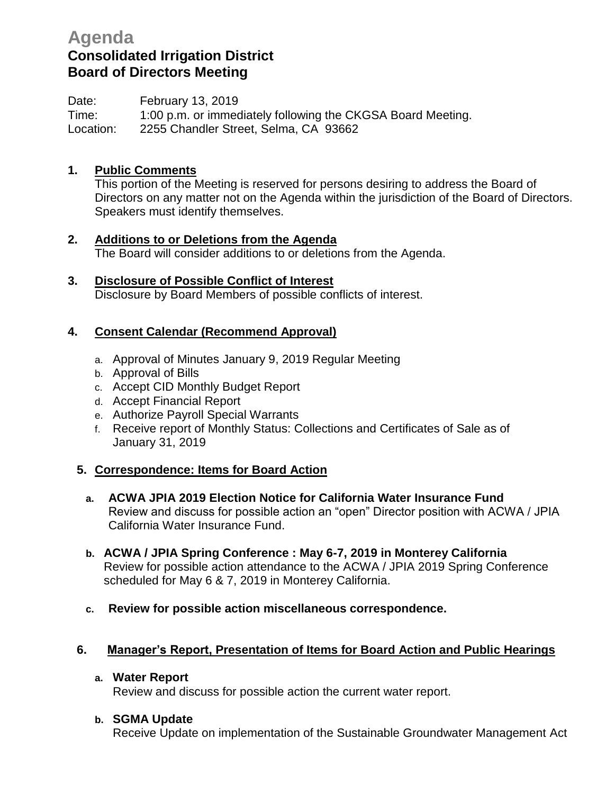# **Agenda Consolidated Irrigation District Board of Directors Meeting**

Date: February 13, 2019

Time: 1:00 p.m. or immediately following the CKGSA Board Meeting. Location: 2255 Chandler Street, Selma, CA 93662

# **1. Public Comments**

This portion of the Meeting is reserved for persons desiring to address the Board of Directors on any matter not on the Agenda within the jurisdiction of the Board of Directors. Speakers must identify themselves.

- **2. Additions to or Deletions from the Agenda** The Board will consider additions to or deletions from the Agenda.
- **3. Disclosure of Possible Conflict of Interest** Disclosure by Board Members of possible conflicts of interest.

# **4. Consent Calendar (Recommend Approval)**

- a. Approval of Minutes January 9, 2019 Regular Meeting
- b. Approval of Bills
- c. Accept CID Monthly Budget Report
- d. Accept Financial Report
- e. Authorize Payroll Special Warrants
- f. Receive report of Monthly Status: Collections and Certificates of Sale as of January 31, 2019

# **5. Correspondence: Items for Board Action**

- **a. ACWA JPIA 2019 Election Notice for California Water Insurance Fund** Review and discuss for possible action an "open" Director position with ACWA / JPIA California Water Insurance Fund.
- **b. ACWA / JPIA Spring Conference : May 6-7, 2019 in Monterey California** Review for possible action attendance to the ACWA / JPIA 2019 Spring Conference scheduled for May 6 & 7, 2019 in Monterey California.
- **c. Review for possible action miscellaneous correspondence.**

# **6. Manager's Report, Presentation of Items for Board Action and Public Hearings**

**a. Water Report**

Review and discuss for possible action the current water report.

## **b. SGMA Update**

Receive Update on implementation of the Sustainable Groundwater Management Act